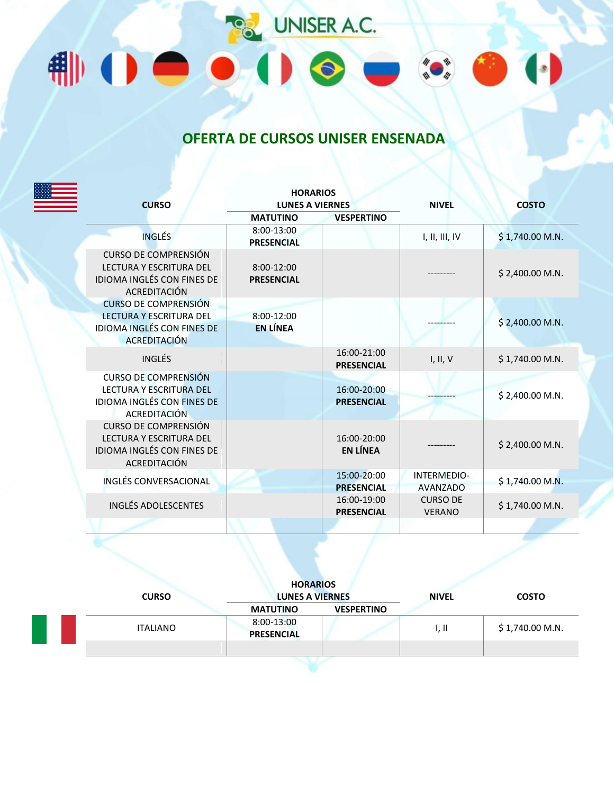**PR** UNISER A.C. ₩Ⅱ●●Ⅱ●

## **OFERTA DE CURSOS UNISER ENSENADA**

 $\begin{picture}(120,10) \put(0,0){\line(1,0){155}} \put(15,0){\line(1,0){155}} \put(15,0){\line(1,0){155}} \put(15,0){\line(1,0){155}} \put(15,0){\line(1,0){155}} \put(15,0){\line(1,0){155}} \put(15,0){\line(1,0){155}} \put(15,0){\line(1,0){155}} \put(15,0){\line(1,0){155}} \put(15,0){\line(1,0){155}} \put(15,0){\line(1,0){155}}$ 

 $\bullet$ 

|  | <b>CURSO</b>                                                                                                       | <b>HORARIOS</b><br><b>LUNES A VIERNES</b> |                                  | <b>NIVEL</b>                     | <b>COSTO</b>     |
|--|--------------------------------------------------------------------------------------------------------------------|-------------------------------------------|----------------------------------|----------------------------------|------------------|
|  |                                                                                                                    | <b>MATUTINO</b>                           | <b>VESPERTINO</b>                |                                  |                  |
|  | <b>INGLÉS</b>                                                                                                      | 8:00-13:00<br><b>PRESENCIAL</b>           |                                  | I, II, III, IV                   | \$1,740.00 M.N.  |
|  | <b>CURSO DE COMPRENSIÓN</b><br>LECTURA Y ESCRITURA DEL<br>IDIOMA INGLÉS CON FINES DE<br>ACREDITACIÓN               | 8:00-12:00<br><b>PRESENCIAL</b>           |                                  |                                  | \$2,400.00 M.N.  |
|  | <b>CURSO DE COMPRENSIÓN</b><br><b>LECTURA Y ESCRITURA DEL</b><br><b>IDIOMA INGLÉS CON FINES DE</b><br>ACREDITACIÓN | 8:00-12:00<br><b>EN LÍNEA</b>             |                                  |                                  | \$2,400.00 M.N.  |
|  | <b>INGLÉS</b>                                                                                                      |                                           | 16:00-21:00<br><b>PRESENCIAL</b> | I, II, V                         | \$1,740.00 M.N.  |
|  | <b>CURSO DE COMPRENSIÓN</b><br>LECTURA Y ESCRITURA DEL<br>IDIOMA INGLÉS CON FINES DE<br><b>ACREDITACIÓN</b>        |                                           | 16:00-20:00<br><b>PRESENCIAL</b> |                                  | \$2,400.00 M.N.  |
|  | <b>CURSO DE COMPRENSIÓN</b><br>LECTURA Y ESCRITURA DEL<br>IDIOMA INGLÉS CON FINES DE<br>ACREDITACIÓN               |                                           | 16:00-20:00<br><b>EN LÍNEA</b>   |                                  | \$2,400.00 M.N.  |
|  | INGLÉS CONVERSACIONAL                                                                                              |                                           | 15:00-20:00<br><b>PRESENCIAL</b> | INTERMEDIO-<br><b>AVANZADO</b>   | \$1,740.00 M.N.  |
|  | <b>INGLÉS ADOLESCENTES</b>                                                                                         |                                           | 16:00-19:00<br><b>PRESENCIAL</b> | <b>CURSO DE</b><br><b>VERANO</b> | $$1,740.00$ M.N. |
|  |                                                                                                                    |                                           |                                  |                                  |                  |

| <b>CURSO</b>    | <b>HORARIOS</b><br><b>LUNES A VIERNES</b> |                   | <b>NIVEL</b> | <b>COSTO</b>     |
|-----------------|-------------------------------------------|-------------------|--------------|------------------|
|                 | <b>MATUTINO</b>                           | <b>VESPERTINO</b> |              |                  |
| <b>ITALIANO</b> | 8:00-13:00<br><b>PRESENCIAL</b>           |                   | I, II        | $$1,740.00$ M.N. |
|                 |                                           |                   |              |                  |